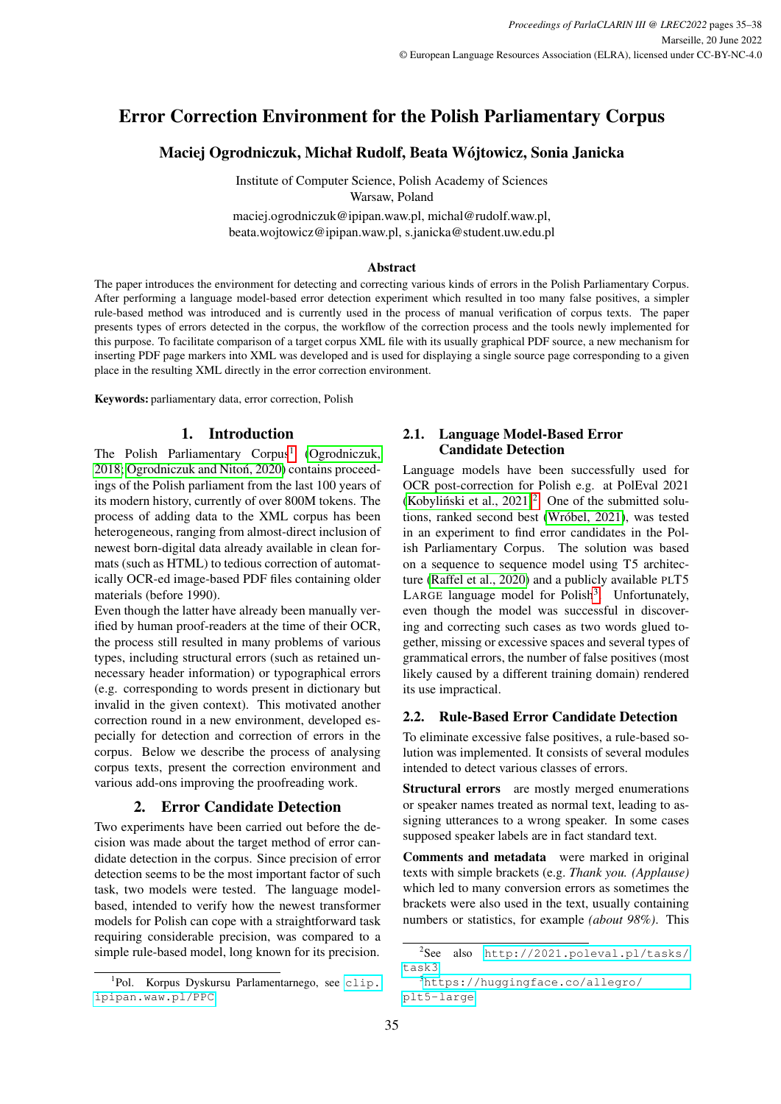# Error Correction Environment for the Polish Parliamentary Corpus

# Maciej Ogrodniczuk, Michał Rudolf, Beata Wójtowicz, Sonia Janicka

Institute of Computer Science, Polish Academy of Sciences Warsaw, Poland

maciej.ogrodniczuk@ipipan.waw.pl, michal@rudolf.waw.pl, beata.wojtowicz@ipipan.waw.pl, s.janicka@student.uw.edu.pl

#### Abstract

The paper introduces the environment for detecting and correcting various kinds of errors in the Polish Parliamentary Corpus. After performing a language model-based error detection experiment which resulted in too many false positives, a simpler rule-based method was introduced and is currently used in the process of manual verification of corpus texts. The paper presents types of errors detected in the corpus, the workflow of the correction process and the tools newly implemented for this purpose. To facilitate comparison of a target corpus XML file with its usually graphical PDF source, a new mechanism for inserting PDF page markers into XML was developed and is used for displaying a single source page corresponding to a given place in the resulting XML directly in the error correction environment.

Keywords: parliamentary data, error correction, Polish

## 1. Introduction

The Polish Parliamentary Corpus<sup>[1](#page-0-0)</sup> [\(Ogrodniczuk,](#page-3-0) [2018;](#page-3-0) Ogrodniczuk and Nitoń, 2020) contains proceedings of the Polish parliament from the last 100 years of its modern history, currently of over 800M tokens. The process of adding data to the XML corpus has been heterogeneous, ranging from almost-direct inclusion of newest born-digital data already available in clean formats (such as HTML) to tedious correction of automatically OCR-ed image-based PDF files containing older materials (before 1990).

Even though the latter have already been manually verified by human proof-readers at the time of their OCR, the process still resulted in many problems of various types, including structural errors (such as retained unnecessary header information) or typographical errors (e.g. corresponding to words present in dictionary but invalid in the given context). This motivated another correction round in a new environment, developed especially for detection and correction of errors in the corpus. Below we describe the process of analysing corpus texts, present the correction environment and various add-ons improving the proofreading work.

# 2. Error Candidate Detection

Two experiments have been carried out before the decision was made about the target method of error candidate detection in the corpus. Since precision of error detection seems to be the most important factor of such task, two models were tested. The language modelbased, intended to verify how the newest transformer models for Polish can cope with a straightforward task requiring considerable precision, was compared to a simple rule-based model, long known for its precision.

## <span id="page-0-3"></span>2.1. Language Model-Based Error Candidate Detection

Language models have been successfully used for OCR post-correction for Polish e.g. at PolEval 2021 (Kobyliński et al.,  $2021$  $2021$ )<sup>2</sup>. One of the submitted solutions, ranked second best [\(Wróbel, 2021\)](#page-3-3), was tested in an experiment to find error candidates in the Polish Parliamentary Corpus. The solution was based on a sequence to sequence model using T5 architecture [\(Raffel et al., 2020\)](#page-3-4) and a publicly available PLT5 LARGE language model for Polish<sup>[3](#page-0-2)</sup>. Unfortunately, even though the model was successful in discovering and correcting such cases as two words glued together, missing or excessive spaces and several types of grammatical errors, the number of false positives (most likely caused by a different training domain) rendered its use impractical.

# 2.2. Rule-Based Error Candidate Detection

To eliminate excessive false positives, a rule-based solution was implemented. It consists of several modules intended to detect various classes of errors.

Structural errors are mostly merged enumerations or speaker names treated as normal text, leading to assigning utterances to a wrong speaker. In some cases supposed speaker labels are in fact standard text.

Comments and metadata were marked in original texts with simple brackets (e.g. *Thank you. (Applause)* which led to many conversion errors as sometimes the brackets were also used in the text, usually containing numbers or statistics, for example *(about 98%)*. This

<span id="page-0-0"></span><sup>&</sup>lt;sup>1</sup>Pol. Korpus Dyskursu Parlamentarnego, see [clip.](clip.ipipan.waw.pl/PPC) [ipipan.waw.pl/PPC](clip.ipipan.waw.pl/PPC).

<span id="page-0-1"></span><sup>2</sup> See also [http://2021.poleval.pl/tasks/](http://2021.poleval.pl/tasks/task3) [task3](http://2021.poleval.pl/tasks/task3).

<span id="page-0-2"></span><sup>3</sup>[https://huggingface.co/allegro/](https://huggingface.co/allegro/plt5-large) [plt5-large](https://huggingface.co/allegro/plt5-large)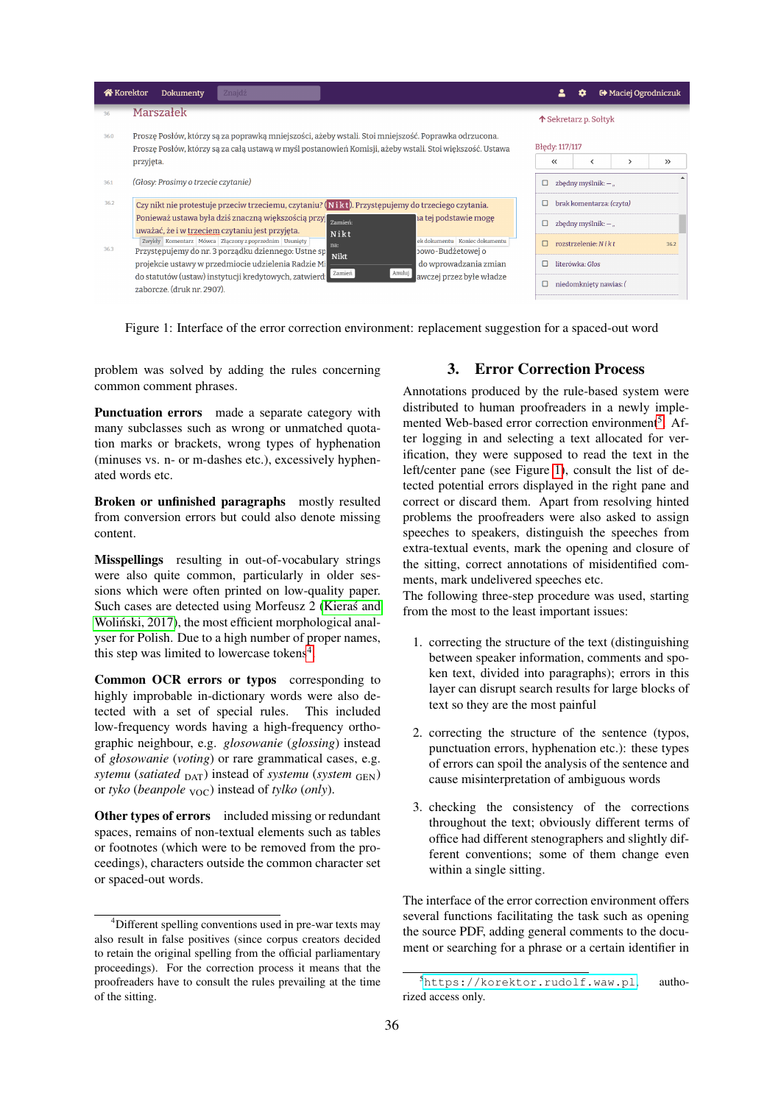| <b>谷</b> Korektor | Dokumenty<br>Znajdź                                                                                                                                                                                                           |                                 | о                             | <b>□</b> Maciej Ogrodniczuk |               |
|-------------------|-------------------------------------------------------------------------------------------------------------------------------------------------------------------------------------------------------------------------------|---------------------------------|-------------------------------|-----------------------------|---------------|
| 36                | Marszałek                                                                                                                                                                                                                     | 个 Sekretarz p. Sołtyk           |                               |                             |               |
| 36.0              | Proszę Posłów, którzy są za poprawką mniejszości, ażeby wstali. Stoi mniejszość. Poprawka odrzucona.<br>Proszę Posłów, którzy są za całą ustawą w myśl postanowień Komisji, ażeby wstali. Stoi większość. Ustawa<br>przyjęta. | Błedy: 117/117<br>≪             | ≺                             |                             | $\rightarrow$ |
| 36.1              | (Głosy: Prosimy o trzecie czytanie)                                                                                                                                                                                           | $\Box$<br>zbędny myślnik: $-$ " |                               |                             |               |
| 36.2              | Czy nikt nie protestuje przeciw trzeciemu, czytaniu? (Nikt). Przystępujemy do trzeciego czytania.                                                                                                                             | brak komentarza: (czyta)        |                               |                             |               |
|                   | Ponieważ ustawa była dziś znaczną większością przyj zamień:<br>la tej podstawie mogę<br>uważać, że i w trzeciem czytaniu jest przyjęta.<br>Nikt                                                                               |                                 | zbędny myślnik: $-$ "         |                             |               |
| 36.3              | ek dokumentu Koniec dokumentu<br>Zwykły Komentarz Mówca Złączony z poprzednim Usunięty<br>na:<br>Przystępujemy do nr. 3 porządku dziennego: Ustne sp<br>powo-Budżetowej o<br><b>Nikt</b>                                      |                                 | rozstrzelenie: $N$ <i>ikt</i> |                             | 36.2          |
|                   | projekcie ustawy w przedmiocie udzielenia Radzie Mi<br>do wprowadzania zmian<br>Zamień<br>Anuluj                                                                                                                              |                                 | literówka: Glos               |                             |               |
|                   | do statutów (ustaw) instytucji kredytowych, zatwierd:<br>awczej przez byłe władze<br>zaborcze. (druk nr. 2907).                                                                                                               |                                 | niedomkniety nawias: (        |                             |               |

<span id="page-1-2"></span>Figure 1: Interface of the error correction environment: replacement suggestion for a spaced-out word

problem was solved by adding the rules concerning common comment phrases.

Punctuation errors made a separate category with many subclasses such as wrong or unmatched quotation marks or brackets, wrong types of hyphenation (minuses vs. n- or m-dashes etc.), excessively hyphenated words etc.

Broken or unfinished paragraphs mostly resulted from conversion errors but could also denote missing content.

Misspellings resulting in out-of-vocabulary strings were also quite common, particularly in older sessions which were often printed on low-quality paper. Such cases are detected using Morfeusz 2 [\(Kieras and](#page-3-5) Woliński, 2017), the most efficient morphological analyser for Polish. Due to a high number of proper names, this step was limited to lowercase tokens<sup>[4](#page-1-0)</sup>.

Common OCR errors or typos corresponding to highly improbable in-dictionary words were also detected with a set of special rules. This included low-frequency words having a high-frequency orthographic neighbour, e.g. *glosowanie* (*glossing*) instead of *głosowanie* (*voting*) or rare grammatical cases, e.g. *sytemu* (*satiated* DAT) instead of *systemu* (*system* GEN) or *tyko* (*beanpole* <sub>VOC</sub>) instead of *tylko* (*only*).

Other types of errors included missing or redundant spaces, remains of non-textual elements such as tables or footnotes (which were to be removed from the proceedings), characters outside the common character set or spaced-out words.

# 3. Error Correction Process

Annotations produced by the rule-based system were distributed to human proofreaders in a newly imple-mented Web-based error correction environment<sup>[5](#page-1-1)</sup>. After logging in and selecting a text allocated for verification, they were supposed to read the text in the left/center pane (see Figure [1\)](#page-1-2), consult the list of detected potential errors displayed in the right pane and correct or discard them. Apart from resolving hinted problems the proofreaders were also asked to assign speeches to speakers, distinguish the speeches from extra-textual events, mark the opening and closure of the sitting, correct annotations of misidentified comments, mark undelivered speeches etc.

The following three-step procedure was used, starting from the most to the least important issues:

- 1. correcting the structure of the text (distinguishing between speaker information, comments and spoken text, divided into paragraphs); errors in this layer can disrupt search results for large blocks of text so they are the most painful
- 2. correcting the structure of the sentence (typos, punctuation errors, hyphenation etc.): these types of errors can spoil the analysis of the sentence and cause misinterpretation of ambiguous words
- 3. checking the consistency of the corrections throughout the text; obviously different terms of office had different stenographers and slightly different conventions; some of them change even within a single sitting.

The interface of the error correction environment offers several functions facilitating the task such as opening the source PDF, adding general comments to the document or searching for a phrase or a certain identifier in

<span id="page-1-0"></span><sup>4</sup>Different spelling conventions used in pre-war texts may also result in false positives (since corpus creators decided to retain the original spelling from the official parliamentary proceedings). For the correction process it means that the proofreaders have to consult the rules prevailing at the time of the sitting.

<span id="page-1-1"></span><sup>5</sup><https://korektor.rudolf.waw.pl>, authorized access only.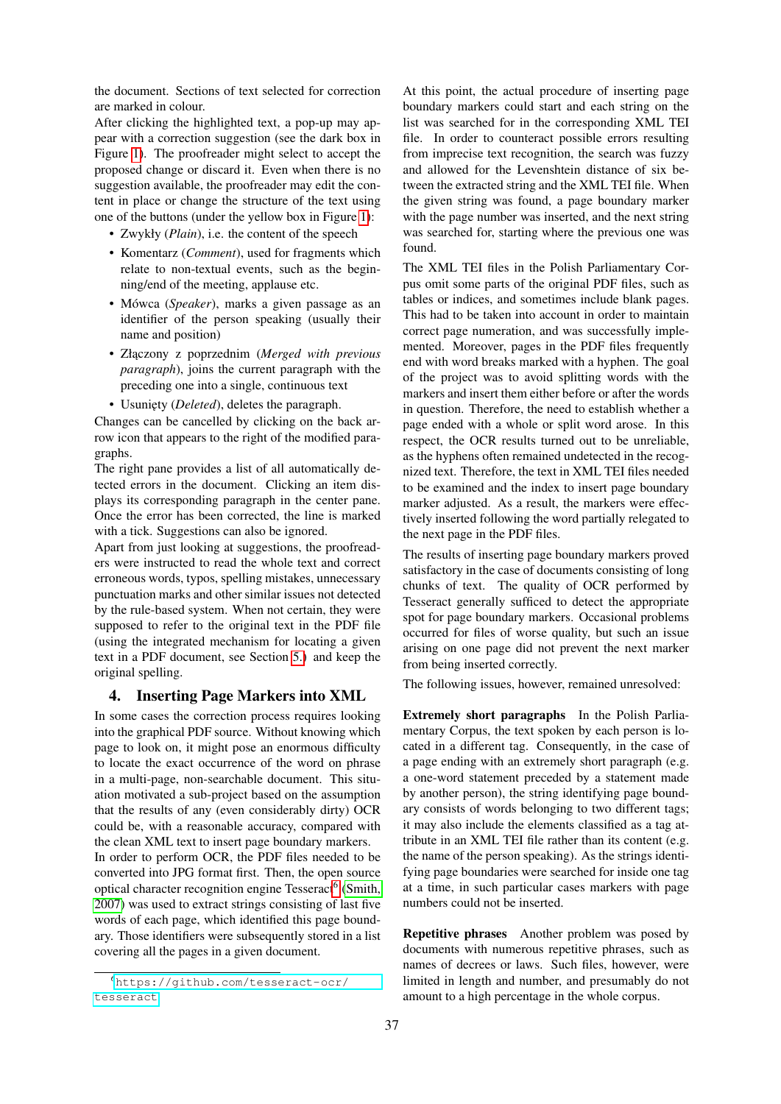the document. Sections of text selected for correction are marked in colour.

After clicking the highlighted text, a pop-up may appear with a correction suggestion (see the dark box in Figure [1\)](#page-1-2). The proofreader might select to accept the proposed change or discard it. Even when there is no suggestion available, the proofreader may edit the content in place or change the structure of the text using one of the buttons (under the yellow box in Figure [1\)](#page-1-2):

- Zwykły (*Plain*), i.e. the content of the speech
- Komentarz (*Comment*), used for fragments which relate to non-textual events, such as the beginning/end of the meeting, applause etc.
- Mówca (*Speaker*), marks a given passage as an identifier of the person speaking (usually their name and position)
- Złączony z poprzednim (*Merged with previous paragraph*), joins the current paragraph with the preceding one into a single, continuous text
- Usuni˛ety (*Deleted*), deletes the paragraph.

Changes can be cancelled by clicking on the back arrow icon that appears to the right of the modified paragraphs.

The right pane provides a list of all automatically detected errors in the document. Clicking an item displays its corresponding paragraph in the center pane. Once the error has been corrected, the line is marked with a tick. Suggestions can also be ignored.

Apart from just looking at suggestions, the proofreaders were instructed to read the whole text and correct erroneous words, typos, spelling mistakes, unnecessary punctuation marks and other similar issues not detected by the rule-based system. When not certain, they were supposed to refer to the original text in the PDF file (using the integrated mechanism for locating a given text in a PDF document, see Section [5.\)](#page-3-6) and keep the original spelling.

#### 4. Inserting Page Markers into XML

In some cases the correction process requires looking into the graphical PDF source. Without knowing which page to look on, it might pose an enormous difficulty to locate the exact occurrence of the word on phrase in a multi-page, non-searchable document. This situation motivated a sub-project based on the assumption that the results of any (even considerably dirty) OCR could be, with a reasonable accuracy, compared with the clean XML text to insert page boundary markers. In order to perform OCR, the PDF files needed to be converted into JPG format first. Then, the open source optical character recognition engine Tesseract<sup>[6](#page-2-0)</sup> [\(Smith,](#page-3-7) [2007\)](#page-3-7) was used to extract strings consisting of last five words of each page, which identified this page boundary. Those identifiers were subsequently stored in a list covering all the pages in a given document.

At this point, the actual procedure of inserting page boundary markers could start and each string on the list was searched for in the corresponding XML TEI file. In order to counteract possible errors resulting from imprecise text recognition, the search was fuzzy and allowed for the Levenshtein distance of six between the extracted string and the XML TEI file. When the given string was found, a page boundary marker with the page number was inserted, and the next string was searched for, starting where the previous one was found.

The XML TEI files in the Polish Parliamentary Corpus omit some parts of the original PDF files, such as tables or indices, and sometimes include blank pages. This had to be taken into account in order to maintain correct page numeration, and was successfully implemented. Moreover, pages in the PDF files frequently end with word breaks marked with a hyphen. The goal of the project was to avoid splitting words with the markers and insert them either before or after the words in question. Therefore, the need to establish whether a page ended with a whole or split word arose. In this respect, the OCR results turned out to be unreliable, as the hyphens often remained undetected in the recognized text. Therefore, the text in XML TEI files needed to be examined and the index to insert page boundary marker adjusted. As a result, the markers were effectively inserted following the word partially relegated to the next page in the PDF files.

The results of inserting page boundary markers proved satisfactory in the case of documents consisting of long chunks of text. The quality of OCR performed by Tesseract generally sufficed to detect the appropriate spot for page boundary markers. Occasional problems occurred for files of worse quality, but such an issue arising on one page did not prevent the next marker from being inserted correctly.

The following issues, however, remained unresolved:

Extremely short paragraphs In the Polish Parliamentary Corpus, the text spoken by each person is located in a different tag. Consequently, in the case of a page ending with an extremely short paragraph (e.g. a one-word statement preceded by a statement made by another person), the string identifying page boundary consists of words belonging to two different tags; it may also include the elements classified as a tag attribute in an XML TEI file rather than its content (e.g. the name of the person speaking). As the strings identifying page boundaries were searched for inside one tag at a time, in such particular cases markers with page numbers could not be inserted.

Repetitive phrases Another problem was posed by documents with numerous repetitive phrases, such as names of decrees or laws. Such files, however, were limited in length and number, and presumably do not amount to a high percentage in the whole corpus.

<span id="page-2-0"></span><sup>6</sup>[https://github.com/tesseract-ocr/](https://github.com/tesseract-ocr/tesseract) [tesseract](https://github.com/tesseract-ocr/tesseract)